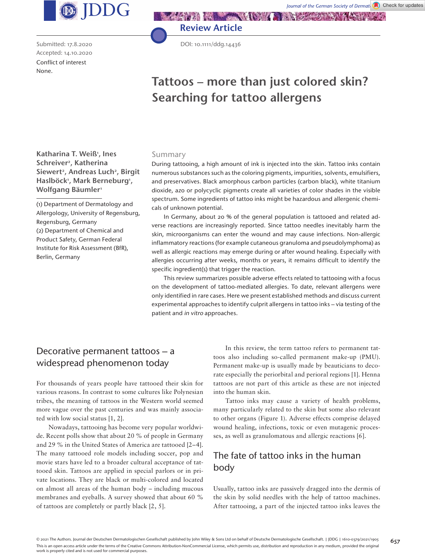

Submitted: 17.8.2020 Accepted: 14.10.2020 Conflict of interest None.



DOI: 10.1111/ddg.14436

Review Article

# **Tattoos – more than just colored skin? Searching for tattoo allergens**

Katharina T. Weiß<sup>1</sup>, Ines Schreiver<sup>2</sup>, Katherina Siewert<sup>2</sup>, Andreas Luch<sup>2</sup>, Birgit Haslböck<sup>1</sup>, Mark Berneburg<sup>1</sup>, Wolfgang Bäumler<sup>1</sup>

(1) Department of Dermatology and Allergology, University of Regensburg, Regensburg, Germany (2) Department of Chemical and Product Safety, German Federal Institute for Risk Assessment (BfR), Berlin, Germany

#### Summary

During tattooing, a high amount of ink is injected into the skin. Tattoo inks contain numerous substances such as the coloring pigments, impurities, solvents, emulsifiers, and preservatives. Black amorphous carbon particles (carbon black), white titanium dioxide, azo or polycyclic pigments create all varieties of color shades in the visible spectrum. Some ingredients of tattoo inks might be hazardous and allergenic chemicals of unknown potential.

In Germany, about 20 % of the general population is tattooed and related adverse reactions are increasingly reported. Since tattoo needles inevitably harm the skin, microorganisms can enter the wound and may cause infections. Non-allergic inflammatory reactions (for example cutaneous granuloma and pseudolymphoma) as well as allergic reactions may emerge during or after wound healing. Especially with allergies occurring after weeks, months or years, it remains difficult to identify the specific ingredient(s) that trigger the reaction.

This review summarizes possible adverse effects related to tattooing with a focus on the development of tattoo-mediated allergies. To date, relevant allergens were only identified in rare cases. Here we present established methods and discuss current experimental approaches to identify culprit allergens in tattoo inks – via testing of the patient and in vitro approaches.

### Decorative permanent tattoos – a widespread phenomenon today

For thousands of years people have tattooed their skin for various reasons. In contrast to some cultures like Polynesian tribes, the meaning of tattoos in the Western world seemed more vague over the past centuries and was mainly associated with low social status [1, 2].

Nowadays, tattooing has become very popular worldwide. Recent polls show that about 20 % of people in Germany and 29 % in the United States of America are tattooed [2–4]. The many tattooed role models including soccer, pop and movie stars have led to a broader cultural acceptance of tattooed skin. Tattoos are applied in special parlors or in private locations. They are black or multi-colored and located on almost all areas of the human body – including mucous membranes and eyeballs. A survey showed that about 60 % of tattoos are completely or partly black [2, 5].

In this review, the term tattoo refers to permanent tattoos also including so-called permanent make-up (PMU). Permanent make-up is usually made by beauticians to decorate especially the periorbital and perioral regions [1]. Henna tattoos are not part of this article as these are not injected into the human skin.

Tattoo inks may cause a variety of health problems, many particularly related to the skin but some also relevant to other organs (Figure 1). Adverse effects comprise delayed wound healing, infections, toxic or even mutagenic processes, as well as granulomatous and allergic reactions [6].

## The fate of tattoo inks in the human body

Usually, tattoo inks are passively dragged into the dermis of the skin by solid needles with the help of tattoo machines. After tattooing, a part of the injected tattoo inks leaves the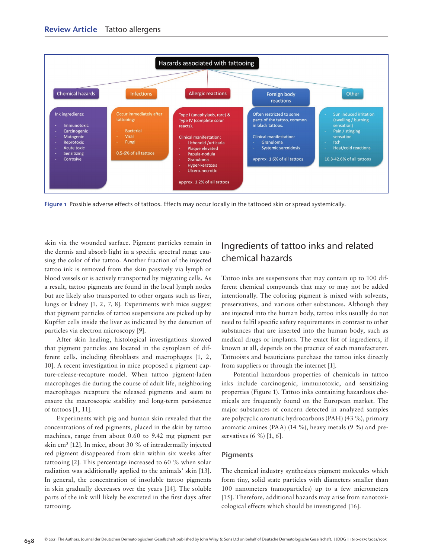

Figure 1 Possible adverse effects of tattoos. Effects may occur locally in the tattooed skin or spread systemically.

skin via the wounded surface. Pigment particles remain in the dermis and absorb light in a specific spectral range causing the color of the tattoo. Another fraction of the injected tattoo ink is removed from the skin passively via lymph or blood vessels or is actively transported by migrating cells. As a result, tattoo pigments are found in the local lymph nodes but are likely also transported to other organs such as liver, lungs or kidney [1, 2, 7, 8]. Experiments with mice suggest that pigment particles of tattoo suspensions are picked up by Kupffer cells inside the liver as indicated by the detection of particles via electron microscopy [9].

After skin healing, histological investigations showed that pigment particles are located in the cytoplasm of different cells, including fibroblasts and macrophages [1, 2, 10]. A recent investigation in mice proposed a pigment capture-release-recapture model. When tattoo pigment-laden macrophages die during the course of adult life, neighboring macrophages recapture the released pigments and seem to ensure the macroscopic stability and long-term persistence of tattoos [1, 11].

Experiments with pig and human skin revealed that the concentrations of red pigments, placed in the skin by tattoo machines, range from about 0.60 to 9.42 mg pigment per skin cm² [12]. In mice, about 30 % of intradermally injected red pigment disappeared from skin within six weeks after tattooing [2]. This percentage increased to 60 % when solar radiation was additionally applied to the animals' skin [13]. In general, the concentration of insoluble tattoo pigments in skin gradually decreases over the years [14]. The soluble parts of the ink will likely be excreted in the first days after tattooing.

## Ingredients of tattoo inks and related chemical hazards

Tattoo inks are suspensions that may contain up to 100 different chemical compounds that may or may not be added intentionally. The coloring pigment is mixed with solvents, preservatives, and various other substances. Although they are injected into the human body, tattoo inks usually do not need to fulfil specific safety requirements in contrast to other substances that are inserted into the human body, such as medical drugs or implants. The exact list of ingredients, if known at all, depends on the practice of each manufacturer. Tattooists and beauticians purchase the tattoo inks directly from suppliers or through the internet [1].

Potential hazardous properties of chemicals in tattoo inks include carcinogenic, immunotoxic, and sensitizing properties (Figure 1). Tattoo inks containing hazardous chemicals are frequently found on the European market. The major substances of concern detected in analyzed samples are polycyclic aromatic hydrocarbons (PAH) (43 %), primary aromatic amines (PAA) (14 %), heavy metals (9 %) and preservatives (6 %) [1, 6].

#### Pigments

The chemical industry synthesizes pigment molecules which form tiny, solid state particles with diameters smaller than 100 nanometers (nanoparticles) up to a few micrometers [15]. Therefore, additional hazards may arise from nanotoxicological effects which should be investigated [16].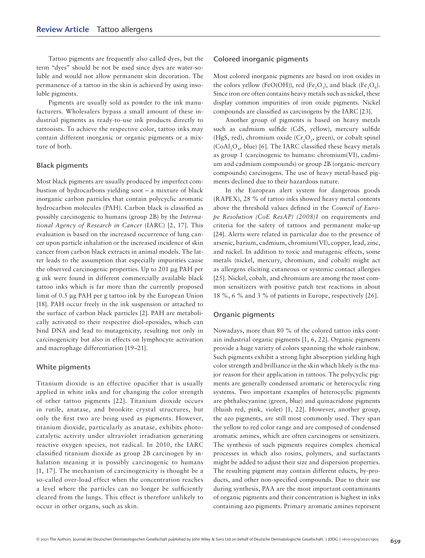Tattoo pigments are frequently also called dyes, but the term "dyes" should be not be used since dyes are water-soluble and would not allow permanent skin decoration. The permanence of a tattoo in the skin is achieved by using insoluble pigments.

Pigments are usually sold as powder to the ink manufacturers. Wholesalers bypass a small amount of these industrial pigments as ready-to-use ink products directly to tattooists. To achieve the respective color, tattoo inks may contain different inorganic or organic pigments or a mixture of both.

#### Black pigments

Most black pigments are usually produced by imperfect combustion of hydrocarbons yielding soot – a mixture of black inorganic carbon particles that contain polycyclic aromatic hydrocarbon molecules (PAH). Carbon black is classified as possibly carcinogenic to humans (group 2B) by the *International Agency of Research in Cancer* (IARC) [2, 17]. This evaluation is based on the increased occurrence of lung cancer upon particle inhalation or the increased incidence of skin cancer from carbon black extracts in animal models. The latter leads to the assumption that especially impurities cause the observed carcinogenic properties. Up to 201 μg PAH per g ink were found in different commercially available black tattoo inks which is far more than the currently proposed limit of 0.5 μg PAH per g tattoo ink by the European Union [18]. PAH occur freely in the ink suspension or attached to the surface of carbon black particles [2]. PAH are metabolically activated to their respective diol-epoxides, which can bind DNA and lead to mutagenicity, resulting not only in carcinogenicity but also in effects on lymphocyte activation and macrophage differentiation [19–21].

#### White pigments

Titanium dioxide is an effective opacifier that is usually applied in white inks and for changing the color strength of other tattoo pigments [22]. Titanium dioxide occurs in rutile, anatase, and brookite crystal structures, but only the first two are being used as pigments. However, titanium dioxide, particularly as anatase, exhibits photocatalytic activity under ultraviolet irradiation generating reactive oxygen species, not radical. In 2010, the IARC classified titanium dioxide as group 2B carcinogen by inhalation meaning it is possibly carcinogenic to humans [1, 17]. The mechanism of carcinogenicity is thought be a so-called over-load effect when the concentration reaches a level where the particles can no longer be sufficiently cleared from the lungs. This effect is therefore unlikely to occur in other organs, such as skin.

#### Colored inorganic pigments

Most colored inorganic pigments are based on iron oxides in the colors yellow (FeO(OH)), red (Fe<sub>2</sub>O<sub>3</sub>), and black (Fe<sub>3</sub>O<sub>4</sub>). Since iron ore often contains heavy metals such as nickel, these display common impurities of iron oxide pigments. Nickel compounds are classified as carcinogens by the IARC [23].

Another group of pigments is based on heavy metals such as cadmium sulfide (CdS, yellow), mercury sulfide (HgS, red), chromium oxide  $(Cr, O<sub>3</sub>)$ , green), or cobalt spinel  $(CoAl<sub>2</sub>O<sub>4</sub>$ , blue) [6]. The IARC classified these heavy metals as group 1 (carcinogenic to humans: chromium(VI), cadmium and cadmium compounds) or group 2B (organic-mercury compounds) carcinogens. The use of heavy metal-based pigments declined due to their hazardous nature.

In the European alert system for dangerous goods (RAPEX), 28 % of tattoo inks showed heavy metal contents above the threshold values defined in the *Council of Europe Resolution (CoE ResAP) (2008)1* on requirements and criteria for the safety of tattoos and permanent make-up [24]. Alerts were related in particular due to the presence of arsenic, barium, cadmium, chromium(VI), copper, lead, zinc, and nickel. In addition to toxic and mutagenic effects, some metals (nickel, mercury, chromium, and cobalt) might act as allergens eliciting cutaneous or systemic contact allergies [25]. Nickel, cobalt, and chromium are among the most common sensitizers with positive patch test reactions in about 18 %, 6 % and 3 % of patients in Europe, respectively [26].

#### Organic pigments

Nowadays, more than 80 % of the colored tattoo inks contain industrial organic pigments [1, 6, 22]. Organic pigments provide a huge variety of colors spanning the whole rainbow. Such pigments exhibit a strong light absorption yielding high color strength and brilliance in the skin which likely is the major reason for their application in tattoos. The polycyclic pigments are generally condensed aromatic or heterocyclic ring systems. Two important examples of heterocyclic pigments are phthalocyanine (green, blue) and quinacridone pigments (bluish red, pink, violet) [1, 22]. However, another group, the azo pigments, are still most commonly used. They span the yellow to red color range and are composed of condensed aromatic amines, which are often carcinogens or sensitizers. The synthesis of such pigments requires complex chemical processes in which also rosins, polymers, and surfactants might be added to adjust their size and dispersion properties. The resulting pigment may contain different educts, by-products, and other non-specified compounds. Due to their use during synthesis, PAA are the most important contaminants of organic pigments and their concentration is highest in inks containing azo pigments. Primary aromatic amines represent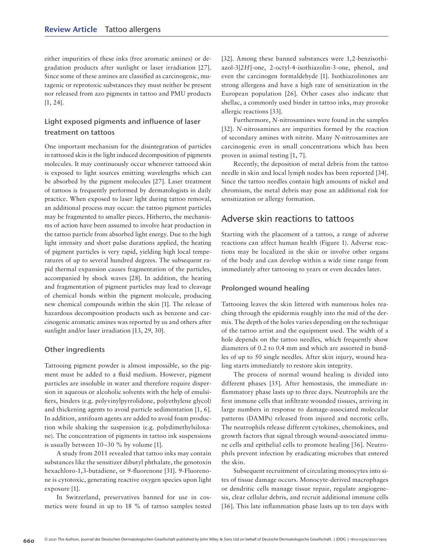either impurities of these inks (free aromatic amines) or degradation products after sunlight or laser irradiation [27]. Since some of these amines are classified as carcinogenic, mutagenic or reprotoxic substances they must neither be present nor released from azo pigments in tattoo and PMU products [1, 24].

### Light exposed pigments and influence of laser treatment on tattoos

One important mechanism for the disintegration of particles in tattooed skin is the light induced decomposition of pigments molecules. It may continuously occur whenever tattooed skin is exposed to light sources emitting wavelengths which can be absorbed by the pigment molecules [27]. Laser treatment of tattoos is frequently performed by dermatologists in daily practice. When exposed to laser light during tattoo removal, an additional process may occur: the tattoo pigment particles may be fragmented to smaller pieces. Hitherto, the mechanisms of action have been assumed to involve heat production in the tattoo particle from absorbed light energy. Due to the high light intensity and short pulse durations applied, the heating of pigment particles is very rapid, yielding high local temperatures of up to several hundred degrees. The subsequent rapid thermal expansion causes fragmentation of the particles, accompanied by shock waves [28]. In addition, the heating and fragmentation of pigment particles may lead to cleavage of chemical bonds within the pigment molecule, producing new chemical compounds within the skin [1]. The release of hazardous decomposition products such as benzene and carcinogenic aromatic amines was reported by us and others after sunlight and/or laser irradiation [13, 29, 30].

#### Other ingredients

Tattooing pigment powder is almost impossible, so the pigment must be added to a fluid medium. However, pigment particles are insoluble in water and therefore require dispersion in aqueous or alcoholic solvents with the help of emulsifiers, binders (e.g. polyvinylpyrrolidone, polyethylene glycol) and thickening agents to avoid particle sedimentation [1, 6]. In addition, antifoam agents are added to avoid foam production while shaking the suspension (e.g. polydimethylsiloxane). The concentration of pigments in tattoo ink suspensions is usually between 10–30 % by volume [1].

A study from 2011 revealed that tattoo inks may contain substances like the sensitizer dibutyl phthalate, the genotoxin hexachloro-1,3-butadiene, or 9-fluorenone [31]. 9-Fluorenone is cytotoxic, generating reactive oxygen species upon light exposure [1].

In Switzerland, preservatives banned for use in cosmetics were found in up to 18 % of tattoo samples tested [32]. Among these banned substances were 1,2-benzisothiazol-3[*2H*]-one, 2-octyl-4-isothiazolin-3-one, phenol, and even the carcinogen formaldehyde [1]. Isothiazolinones are strong allergens and have a high rate of sensitization in the European population [26]. Other cases also indicate that shellac, a commonly used binder in tattoo inks, may provoke allergic reactions [33].

Furthermore, *N*-nitrosamines were found in the samples [32]. *N*-nitrosamines are impurities formed by the reaction of secondary amines with nitrite. Many *N*-nitrosamines are carcinogenic even in small concentrations which has been proven in animal testing [1, 7].

Recently, the deposition of metal debris from the tattoo needle in skin and local lymph nodes has been reported [34]. Since the tattoo needles contain high amounts of nickel and chromium, the metal debris may pose an additional risk for sensitization or allergy formation.

### Adverse skin reactions to tattoos

Starting with the placement of a tattoo, a range of adverse reactions can affect human health (Figure 1). Adverse reactions may be localized in the skin or involve other organs of the body and can develop within a wide time range from immediately after tattooing to years or even decades later.

#### Prolonged wound healing

Tattooing leaves the skin littered with numerous holes reaching through the epidermis roughly into the mid of the dermis. The depth of the holes varies depending on the technique of the tattoo artist and the equipment used. The width of a hole depends on the tattoo needles, which frequently show diameters of 0.2 to 0.4 mm and which are assorted in bundles of up to 50 single needles. After skin injury, wound healing starts immediately to restore skin integrity.

The process of normal wound healing is divided into different phases [35]. After hemostasis, the immediate inflammatory phase lasts up to three days. Neutrophils are the first immune cells that infiltrate wounded tissues, arriving in large numbers in response to damage-associated molecular patterns (DAMPs) released from injured and necrotic cells. The neutrophils release different cytokines, chemokines, and growth factors that signal through wound-associated immune cells and epithelial cells to promote healing [36]. Neutrophils prevent infection by eradicating microbes that entered the skin.

Subsequent recruitment of circulating monocytes into sites of tissue damage occurs. Monocyte-derived macrophages or dendritic cells manage tissue repair, regulate angiogenesis, clear cellular debris, and recruit additional immune cells [36]. This late inflammation phase lasts up to ten days with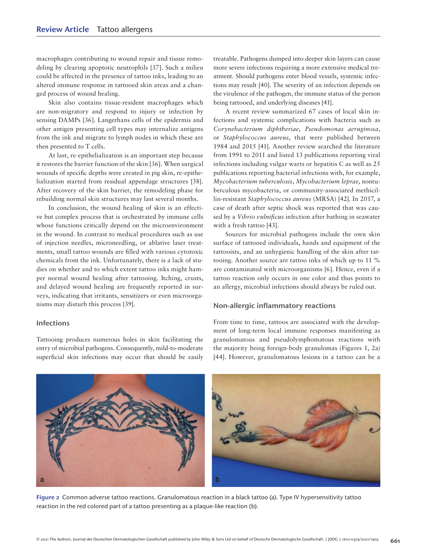macrophages contributing to wound repair and tissue remodeling by clearing apoptotic neutrophils [37]. Such a milieu could be affected in the presence of tattoo inks, leading to an altered immune response in tattooed skin areas and a changed process of wound healing.

Skin also contains tissue-resident macrophages which are non-migratory and respond to injury or infection by sensing DAMPs [36]. Langerhans cells of the epidermis and other antigen presenting cell types may internalize antigens from the ink and migrate to lymph nodes in which these are then presented to T cells.

At last, re-epithelialization is an important step because it restores the barrier function of the skin [36]. When surgical wounds of specific depths were created in pig skin, re-epithelialization started from residual appendage structures [38]. After recovery of the skin barrier, the remodeling phase for rebuilding normal skin structures may last several months.

In conclusion, the wound healing of skin is an effective but complex process that is orchestrated by immune cells whose functions critically depend on the microenvironment in the wound. In contrast to medical procedures such as use of injection needles, microneedling, or ablative laser treatments, small tattoo wounds are filled with various cytotoxic chemicals from the ink. Unfortunately, there is a lack of studies on whether and to which extent tattoo inks might hamper normal wound healing after tattooing. Itching, crusts, and delayed wound healing are frequently reported in surveys, indicating that irritants, sensitizers or even microorganisms may disturb this process [39].

#### Infections

Tattooing produces numerous holes in skin facilitating the entry of microbial pathogens. Consequently, mild-to-moderate superficial skin infections may occur that should be easily treatable. Pathogens dumped into deeper skin layers can cause more severe infections requiring a more extensive medical treatment. Should pathogens enter blood vessels, systemic infections may result [40]. The severity of an infection depends on the virulence of the pathogen, the immune status of the person being tattooed, and underlying diseases [41].

A recent review summarized 67 cases of local skin infections and systemic complications with bacteria such as *Corynebacterium diphtheriae*, *Pseudomonas aeruginosa*, or *Staphylococcus aureus*, that were published between 1984 and 2015 [41]. Another review searched the literature from 1991 to 2011 and listed 13 publications reporting viral infections including vulgar warts or hepatitis C as well as 25 publications reporting bacterial infections with, for example, *Mycobacterium tuberculosis*, *Mycobacterium leprae*, nontuberculous mycobacteria, or community-associated methicillin-resistant *Staphylococcus aureus* (MRSA) [42]. In 2017, a case of death after septic shock was reported that was caused by a *Vibrio vulnificus* infection after bathing in seawater with a fresh tattoo [43].

Sources for microbial pathogens include the own skin surface of tattooed individuals, hands and equipment of the tattooists, and an unhygienic handling of the skin after tattooing. Another source are tattoo inks of which up to 11 % are contaminated with microorganisms [6]. Hence, even if a tattoo reaction only occurs in one color and thus points to an allergy, microbial infections should always be ruled out.

#### Non-allergic inflammatory reactions

From time to time, tattoos are associated with the development of long-term local immune responses manifesting as granulomatous and pseudolymphomatous reactions with the majority being foreign-body granulomas (Figures 1, 2a) [44]. However, granulomatous lesions in a tattoo can be a



Figure 2 Common adverse tattoo reactions. Granulomatous reaction in a black tattoo (a). Type IV hypersensitivity tattoo reaction in the red colored part of a tattoo presenting as a plaque-like reaction (b).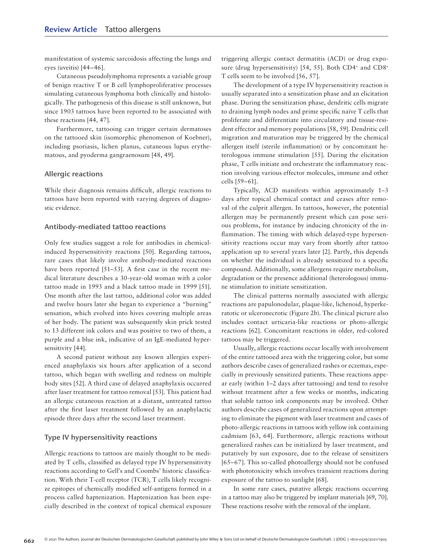manifestation of systemic sarcoidosis affecting the lungs and eyes (uveitis) [44–46].

Cutaneous pseudolymphoma represents a variable group of benign reactive T or B cell lymphoproliferative processes simulating cutaneous lymphoma both clinically and histologically. The pathogenesis of this disease is still unknown, but since 1903 tattoos have been reported to be associated with these reactions [44, 47].

Furthermore, tattooing can trigger certain dermatoses on the tattooed skin (isomorphic phenomenon of Koebner), including psoriasis, lichen planus, cutaneous lupus erythematous, and pyoderma gangraenosum [48, 49].

#### Allergic reactions

While their diagnosis remains difficult, allergic reactions to tattoos have been reported with varying degrees of diagnostic evidence.

#### Antibody-mediated tattoo reactions

Only few studies suggest a role for antibodies in chemicalinduced hypersensitivity reactions [50]. Regarding tattoos, rare cases that likely involve antibody-mediated reactions have been reported [51–53]. A first case in the recent medical literature describes a 30-year-old woman with a color tattoo made in 1993 and a black tattoo made in 1999 [51]. One month after the last tattoo, additional color was added and twelve hours later she began to experience a "burning" sensation, which evolved into hives covering multiple areas of her body. The patient was subsequently skin prick tested to 13 different ink colors and was positive to two of them, a purple and a blue ink, indicative of an IgE-mediated hypersensitivity [44].

A second patient without any known allergies experienced anaphylaxis six hours after application of a second tattoo, which began with swelling and redness on multiple body sites [52]. A third case of delayed anaphylaxis occurred after laser treatment for tattoo removal [53]. This patient had an allergic cutaneous reaction at a distant, untreated tattoo after the first laser treatment followed by an anaphylactic episode three days after the second laser treatment.

#### Type IV hypersensitivity reactions

Allergic reactions to tattoos are mainly thought to be mediated by T cells, classified as delayed type IV hypersensitivity reactions according to Gell's and Coombs' historic classification. With their T-cell receptor (TCR), T cells likely recognize epitopes of chemically modified self-antigens formed in a process called haptenization. Haptenization has been especially described in the context of topical chemical exposure

triggering allergic contact dermatitis (ACD) or drug exposure (drug hypersensitivity) [54, 55]. Both CD4+ and CD8+ T cells seem to be involved [56, 57].

The development of a type IV hypersensitivity reaction is usually separated into a sensitization phase and an elicitation phase. During the sensitization phase, dendritic cells migrate to draining lymph nodes and prime specific naïve T cells that proliferate and differentiate into circulatory and tissue-resident effector and memory populations [58, 59]. Dendritic cell migration and maturation may be triggered by the chemical allergen itself (sterile inflammation) or by concomitant heterologous immune stimulation [55]. During the elicitation phase, T cells initiate and orchestrate the inflammatory reaction involving various effector molecules, immune and other cells [59–61].

Typically, ACD manifests within approximately 1–3 days after topical chemical contact and ceases after removal of the culprit allergen. In tattoos, however, the potential allergen may be permanently present which can pose serious problems, for instance by inducing chronicity of the inflammation. The timing with which delayed-type hypersensitivity reactions occur may vary from shortly after tattoo application up to several years later [2]. Partly, this depends on whether the individual is already sensitized to a specific compound. Additionally, some allergens require metabolism, degradation or the presence additional (heterologous) immune stimulation to initiate sensitization.

The clinical patterns normally associated with allergic reactions are papulonodular, plaque-like, lichenoid, hyperkeratotic or ulceronecrotic (Figure 2b). The clinical picture also includes contact urticaria-like reactions or photo-allergic reactions [62]. Concomitant reactions in older, red-colored tattoos may be triggered.

Usually, allergic reactions occur locally with involvement of the entire tattooed area with the triggering color, but some authors describe cases of generalized rashes or eczemas, especially in previously sensitized patients. These reactions appear early (within 1–2 days after tattooing) and tend to resolve without treatment after a few weeks or months, indicating that soluble tattoo ink components may be involved. Other authors describe cases of generalized reactions upon attempting to eliminate the pigment with laser treatment and cases of photo-allergic reactions in tattoos with yellow ink containing cadmium [63, 64]. Furthermore, allergic reactions without generalized rashes can be initialized by laser treatment, and putatively by sun exposure, due to the release of sensitizers [65–67]. This so-called photoallergy should not be confused with phototoxicity which involves transient reactions during exposure of the tattoo to sunlight [68].

In some rare cases, putative allergic reactions occurring in a tattoo may also be triggered by implant materials [69, 70]. These reactions resolve with the removal of the implant.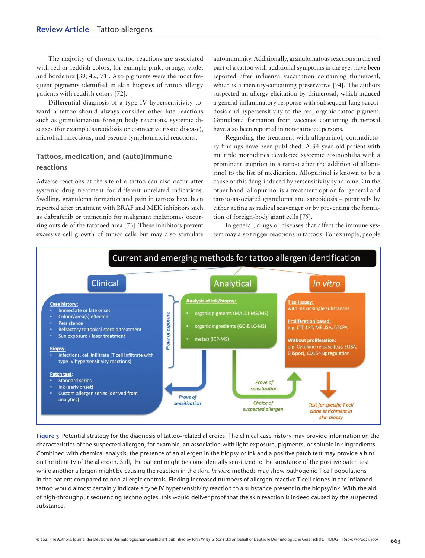The majority of chronic tattoo reactions are associated with red or reddish colors, for example pink, orange, violet and bordeaux [39, 42, 71]. Azo pigments were the most frequent pigments identified in skin biopsies of tattoo allergy patients with reddish colors [72].

Differential diagnosis of a type IV hypersensitivity toward a tattoo should always consider other late reactions such as granulomatous foreign body reactions, systemic diseases (for example sarcoidosis or connective tissue disease), microbial infections, and pseudo-lymphomatoid reactions.

### Tattoos, medication, and (auto)immune reactions

Adverse reactions at the site of a tattoo can also occur after systemic drug treatment for different unrelated indications. Swelling, granuloma formation and pain in tattoos have been reported after treatment with BRAF and MEK inhibitors such as dabrafenib or trametinib for malignant melanomas occurring outside of the tattooed area [73]. These inhibitors prevent excessive cell growth of tumor cells but may also stimulate

autoimmunity. Additionally, granulomatous reactions in the red part of a tattoo with additional symptoms in the eyes have been reported after influenza vaccination containing thimerosal, which is a mercury-containing preservative [74]. The authors suspected an allergy elicitation by thimerosal, which induced a general inflammatory response with subsequent lung sarcoidosis and hypersensitivity to the red, organic tattoo pigment. Granuloma formation from vaccines containing thimerosal have also been reported in non-tattooed persons.

Regarding the treatment with allopurinol, contradictory findings have been published. A 34-year-old patient with multiple morbidities developed systemic eosinophilia with a prominent eruption in a tattoo after the addition of allopurinol to the list of medication. Allopurinol is known to be a cause of this drug-induced hypersensitivity syndrome. On the other hand, allopurinol is a treatment option for general and tattoo-associated granuloma and sarcoidosis – putatively by either acting as radical scavenger or by preventing the formation of foreign-body giant cells [75].

In general, drugs or diseases that affect the immune system may also trigger reactions in tattoos. For example, people



Figure 3 Potential strategy for the diagnosis of tattoo-related allergies. The clinical case history may provide information on the characteristics of the suspected allergen, for example, an association with light exposure, pigments, or soluble ink ingredients. Combined with chemical analysis, the presence of an allergen in the biopsy or ink and a positive patch test may provide a hint on the identity of the allergen. Still, the patient might be coincidentally sensitized to the substance of the positive patch test while another allergen might be causing the reaction in the skin. In vitro methods may show pathogenic T cell populations in the patient compared to non-allergic controls. Finding increased numbers of allergen-reactive T cell clones in the inflamed tattoo would almost certainly indicate a type IV hypersensitivity reaction to a substance present in the biopsy/ink. With the aid of high-throughput sequencing technologies, this would deliver proof that the skin reaction is indeed caused by the suspected substance.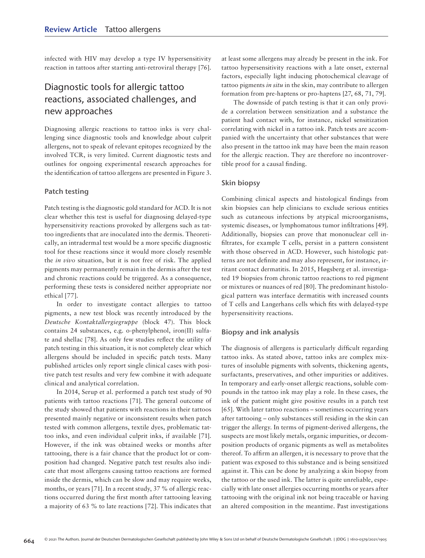infected with HIV may develop a type IV hypersensitivity reaction in tattoos after starting anti-retroviral therapy [76].

## Diagnostic tools for allergic tattoo reactions, associated challenges, and new approaches

Diagnosing allergic reactions to tattoo inks is very challenging since diagnostic tools and knowledge about culprit allergens, not to speak of relevant epitopes recognized by the involved TCR, is very limited. Current diagnostic tests and outlines for ongoing experimental research approaches for the identification of tattoo allergens are presented in Figure 3.

#### Patch testing

Patch testing is the diagnostic gold standard for ACD. It is not clear whether this test is useful for diagnosing delayed-type hypersensitivity reactions provoked by allergens such as tattoo ingredients that are inoculated into the dermis. Theoretically, an intradermal test would be a more specific diagnostic tool for these reactions since it would more closely resemble the *in vivo* situation, but it is not free of risk. The applied pigments may permanently remain in the dermis after the test and chronic reactions could be triggered. As a consequence, performing these tests is considered neither appropriate nor ethical [77].

In order to investigate contact allergies to tattoo pigments, a new test block was recently introduced by the *Deutsche Kontaktallergiegruppe* (block 47). This block contains 24 substances, e.g. o-phenylphenol, iron(II) sulfate and shellac [78]. As only few studies reflect the utility of patch testing in this situation, it is not completely clear which allergens should be included in specific patch tests. Many published articles only report single clinical cases with positive patch test results and very few combine it with adequate clinical and analytical correlation.

In 2014, Serup et al. performed a patch test study of 90 patients with tattoo reactions [71]. The general outcome of the study showed that patients with reactions in their tattoos presented mainly negative or inconsistent results when patch tested with common allergens, textile dyes, problematic tattoo inks, and even individual culprit inks, if available [71]. However, if the ink was obtained weeks or months after tattooing, there is a fair chance that the product lot or composition had changed. Negative patch test results also indicate that most allergens causing tattoo reactions are formed inside the dermis, which can be slow and may require weeks, months, or years [71]. In a recent study, 37 % of allergic reactions occurred during the first month after tattooing leaving a majority of 63 % to late reactions [72]. This indicates that at least some allergens may already be present in the ink. For tattoo hypersensitivity reactions with a late onset, external factors, especially light inducing photochemical cleavage of tattoo pigments *in situ* in the skin, may contribute to allergen formation from pre-haptens or pro-haptens [27, 68, 71, 79].

The downside of patch testing is that it can only provide a correlation between sensitization and a substance the patient had contact with, for instance, nickel sensitization correlating with nickel in a tattoo ink. Patch tests are accompanied with the uncertainty that other substances that were also present in the tattoo ink may have been the main reason for the allergic reaction. They are therefore no incontrovertible proof for a causal finding.

#### Skin biopsy

Combining clinical aspects and histological findings from skin biopsies can help clinicians to exclude serious entities such as cutaneous infections by atypical microorganisms, systemic diseases, or lymphomatous tumor infiltrations [49]. Additionally, biopsies can prove that mononuclear cell infiltrates, for example T cells, persist in a pattern consistent with those observed in ACD. However, such histologic patterns are not definite and may also represent, for instance, irritant contact dermatitis. In 2015, Høgsberg et al. investigated 19 biopsies from chronic tattoo reactions to red pigment or mixtures or nuances of red [80]. The predominant histological pattern was interface dermatitis with increased counts of T cells and Langerhans cells which fits with delayed-type hypersensitivity reactions.

#### Biopsy and ink analysis

The diagnosis of allergens is particularly difficult regarding tattoo inks. As stated above, tattoo inks are complex mixtures of insoluble pigments with solvents, thickening agents, surfactants, preservatives, and other impurities or additives. In temporary and early-onset allergic reactions, soluble compounds in the tattoo ink may play a role. In these cases, the ink of the patient might give positive results in a patch test [65]. With later tattoo reactions – sometimes occurring years after tattooing – only substances still residing in the skin can trigger the allergy. In terms of pigment-derived allergens, the suspects are most likely metals, organic impurities, or decomposition products of organic pigments as well as metabolites thereof. To affirm an allergen, it is necessary to prove that the patient was exposed to this substance and is being sensitized against it. This can be done by analyzing a skin biopsy from the tattoo or the used ink. The latter is quite unreliable, especially with late onset allergies occurring months or years after tattooing with the original ink not being traceable or having an altered composition in the meantime. Past investigations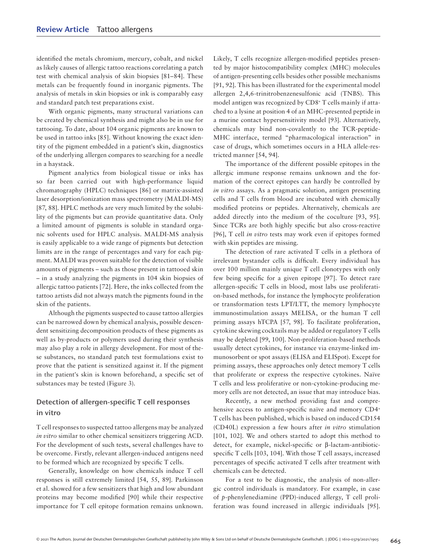identified the metals chromium, mercury, cobalt, and nickel as likely causes of allergic tattoo reactions correlating a patch test with chemical analysis of skin biopsies [81–84]. These metals can be frequently found in inorganic pigments. The analysis of metals in skin biopsies or ink is comparably easy and standard patch test preparations exist.

With organic pigments, many structural variations can be created by chemical synthesis and might also be in use for tattooing. To date, about 104 organic pigments are known to be used in tattoo inks [85]. Without knowing the exact identity of the pigment embedded in a patient's skin, diagnostics of the underlying allergen compares to searching for a needle in a haystack.

Pigment analytics from biological tissue or inks has so far been carried out with high-performance liquid chromatography (HPLC) techniques [86] or matrix-assisted laser desorption/ionization mass spectrometry (MALDI-MS) [87, 88]. HPLC methods are very much limited by the solubility of the pigments but can provide quantitative data. Only a limited amount of pigments is soluble in standard organic solvents used for HPLC analysis. MALDI-MS analysis is easily applicable to a wide range of pigments but detection limits are in the range of percentages and vary for each pigment. MALDI was proven suitable for the detection of visible amounts of pigments – such as those present in tattooed skin – in a study analyzing the pigments in 104 skin biopsies of allergic tattoo patients [72]. Here, the inks collected from the tattoo artists did not always match the pigments found in the skin of the patients.

Although the pigments suspected to cause tattoo allergies can be narrowed down by chemical analysis, possible descendent sensitizing decomposition products of these pigments as well as by-products or polymers used during their synthesis may also play a role in allergy development. For most of these substances, no standard patch test formulations exist to prove that the patient is sensitized against it. If the pigment in the patient's skin is known beforehand, a specific set of substances may be tested (Figure 3).

### Detection of allergen-specific T cell responses in vitro

T cell responses to suspected tattoo allergens may be analyzed *in vitro* similar to other chemical sensitizers triggering ACD. For the development of such tests, several challenges have to be overcome. Firstly, relevant allergen-induced antigens need to be formed which are recognized by specific T cells.

Generally, knowledge on how chemicals induce T cell responses is still extremely limited [54, 55, 89]. Parkinson et al. showed for a few sensitizers that high and low abundant proteins may become modified [90] while their respective importance for T cell epitope formation remains unknown. Likely, T cells recognize allergen-modified peptides presented by major histocompatibility complex (MHC) molecules of antigen-presenting cells besides other possible mechanisms [91, 92]. This has been illustrated for the experimental model allergen 2,4,6-trinitrobenzenesulfonic acid (TNBS). This model antigen was recognized by CD8+ T cells mainly if attached to a lysine at position 4 of an MHC-presented peptide in a murine contact hypersensitivity model [93]. Alternatively, chemicals may bind non-covalently to the TCR-peptide-MHC interface, termed "pharmacological interaction" in case of drugs, which sometimes occurs in a HLA allele-restricted manner [54, 94].

The importance of the different possible epitopes in the allergic immune response remains unknown and the formation of the correct epitopes can hardly be controlled by *in vitro* assays. As a pragmatic solution, antigen presenting cells and T cells from blood are incubated with chemically modified proteins or peptides. Alternatively, chemicals are added directly into the medium of the coculture [93, 95]. Since TCRs are both highly specific but also cross-reactive [96], T cell *in vitro* tests may work even if epitopes formed with skin peptides are missing.

The detection of rare activated T cells in a plethora of irrelevant bystander cells is difficult. Every individual has over 100 million mainly unique T cell clonotypes with only few being specific for a given epitope [97]. To detect rare allergen-specific T cells in blood, most labs use proliferation-based methods, for instance the lymphocyte proliferation or transformation tests LPT/LTT, the memory lymphocyte immunostimulation assays MELISA, or the human T cell priming assays hTCPA [57, 98]. To facilitate proliferation, cytokine skewing cocktails may be added or regulatory T cells may be depleted [99, 100]. Non-proliferation-based methods usually detect cytokines, for instance via enzyme-linked immunosorbent or spot assays (ELISA and ELISpot). Except for priming assays, these approaches only detect memory T cells that proliferate or express the respective cytokines. Naïve T cells and less proliferative or non-cytokine-producing memory cells are not detected, an issue that may introduce bias.

Recently, a new method providing fast and comprehensive access to antigen-specific naïve and memory CD4<sup>+</sup> T cells has been published, which is based on induced CD154 (CD40L) expression a few hours after *in vitro* stimulation [101, 102]. We and others started to adopt this method to detect, for example, nickel-specific or β-lactam-antibioticspecific T cells [103, 104]. With those T cell assays, increased percentages of specific activated T cells after treatment with chemicals can be detected.

For a test to be diagnostic, the analysis of non-allergic control individuals is mandatory. For example, in case of *p*-phenylenediamine (PPD)-induced allergy, T cell proliferation was found increased in allergic individuals [95].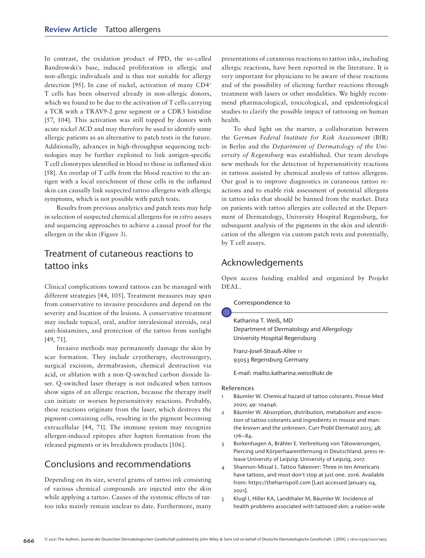In contrast, the oxidation product of PPD, the so-called Bandrowski's base, induced proliferation in allergic and non-allergic individuals and is thus not suitable for allergy detection [95]. In case of nickel, activation of many CD4+ T cells has been observed already in non-allergic donors, which we found to be due to the activation of T cells carrying a TCR with a TRAV9-2 gene segment or a CDR3 histidine [57, 104]. This activation was still topped by donors with acute nickel ACD and may therefore be used to identify some allergic patients as an alternative to patch tests in the future. Additionally, advances in high-throughput sequencing technologies may be further exploited to link antigen-specific T cell clonotypes identified in blood to those in inflamed skin [58]. An overlap of T cells from the blood reactive to the antigen with a local enrichment of these cells in the inflamed skin can causally link suspected tattoo allergens with allergic symptoms, which is not possible with patch tests.

Results from previous analytics and patch tests may help in selection of suspected chemical allergens for *in vitro* assays and sequencing approaches to achieve a causal proof for the allergen in the skin (Figure 3).

## Treatment of cutaneous reactions to tattoo inks

Clinical complications toward tattoos can be managed with different strategies [44, 105]. Treatment measures may span from conservative to invasive procedures and depend on the severity and location of the lesions. A conservative treatment may include topical, oral, and/or intralesional steroids, oral anti-histamines, and protection of the tattoo from sunlight [49, 71].

Invasive methods may permanently damage the skin by scar formation. They include cryotherapy, electrosurgery, surgical excision, dermabrasion, chemical destruction via acid, or ablation with a non-Q-switched carbon dioxide laser. Q-switched laser therapy is not indicated when tattoos show signs of an allergic reaction, because the therapy itself can initiate or worsen hypersensitivity reactions. Probably, these reactions originate from the laser, which destroys the pigment-containing cells, resulting in the pigment becoming extracellular [44, 71]. The immune system may recognize allergen-induced epitopes after hapten formation from the released pigments or its breakdown products [106].

### Conclusions and recommendations

Depending on its size, several grams of tattoo ink consisting of various chemical compounds are injected into the skin while applying a tattoo. Causes of the systemic effects of tattoo inks mainly remain unclear to date. Furthermore, many presentations of cutaneous reactions to tattoo inks, including allergic reactions, have been reported in the literature. It is very important for physicians to be aware of these reactions and of the possibility of eliciting further reactions through treatment with lasers or other modalities. We highly recommend pharmacological, toxicological, and epidemiological studies to clarify the possible impact of tattooing on human health.

To shed light on the matter, a collaboration between the *German Federal Institute for Risk Assessment* (BfR) in Berlin and the *Department of Dermatology of the University of Regensburg* was established. Our team develops new methods for the detection of hypersensitivity reactions in tattoos assisted by chemical analysis of tattoo allergens. Our goal is to improve diagnostics in cutaneous tattoo reactions and to enable risk assessment of potential allergens in tattoo inks that should be banned from the market. Data on patients with tattoo allergies are collected at the Department of Dermatology, University Hospital Regensburg, for subsequent analysis of the pigments in the skin and identification of the allergen via custom patch tests and potentially, by T cell assays.

## Acknowledgements

Open access funding enabled and organized by Projekt DEAL.

Correspondence to

Katharina T. Weiß, MD Department of Dermatology and Allergology University Hospital Regensburg

Franz-Josef-Strauß-Allee 11 93053 Regensburg Germany

E-mail: mailto.katharina.weiss@ukr.de

#### References

- 1 Bäumler W. Chemical hazard of tattoo colorants. Presse Med 2020; 49: 104046.
- 2 Bäumler W. Absorption, distribution, metabolism and excretion of tattoo colorants and ingredients in mouse and man: the known and the unknown. Curr Probl Dermatol 2015; 48: 176–84.
- 3 Borkenhagen A, Brähler E. Verbreitung von Tätowierungen, Piercing und Körperhaarentfernung in Deutschland. press release University of Leipzig: University of Leipzig, 2017.
- 4 Shannon-Missal L. Tattoo Takeover: Three in ten Americans have tattoos, and most don't stop at just one. 2016. Available from: https://theharrispoll.com [Last accessed January 04, 2021].
- 5 Klugl I, Hiller KA, Landthaler M, Bäumler W. Incidence of health problems associated with tattooed skin: a nation-wide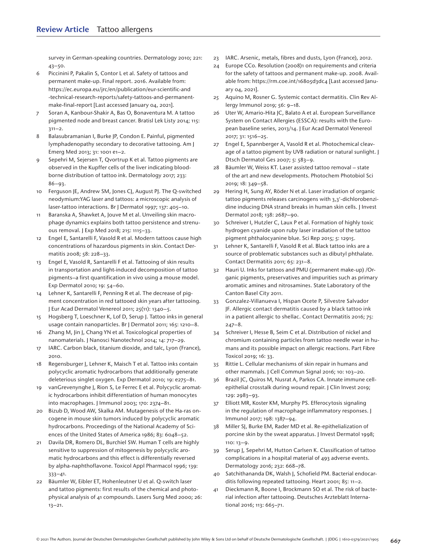survey in German-speaking countries. Dermatology 2010; 221: 43–50.

- 6 Piccinini P, Pakalin S, Contor L et al. Safety of tattoos and permanent make-up. Final report. 2016. Available from: https://ec.europa.eu/jrc/en/publication/eur-scientific-and -technical-research-reports/safety-tattoos-and-permanentmake-final-report [Last accessed January 04, 2021].
- 7 Soran A, Kanbour-Shakir A, Bas O, Bonaventura M. A tattoo pigmented node and breast cancer. Bratisl Lek Listy 2014; 115:  $311 - 2.$
- 8 Balasubramanian I, Burke JP, Condon E. Painful, pigmented lymphadenopathy secondary to decorative tattooing. Am J Emerg Med 2013; 31: 1001 e1–2.
- 9 Sepehri M, Sejersen T, Qvortrup K et al. Tattoo pigments are observed in the Kupffer cells of the liver indicating bloodborne distribution of tattoo ink. Dermatology 2017; 233: 86–93.
- 10 Ferguson JE, Andrew SM, Jones CJ, August PJ. The Q-switched neodymium:YAG laser and tattoos: a microscopic analysis of laser-tattoo interactions. Br J Dermatol 1997; 137: 405–10.
- 11 Baranska A, Shawket A, Jouve M et al. Unveiling skin macrophage dynamics explains both tattoo persistence and strenuous removal. J Exp Med 2018; 215: 1115–33.
- 12 Engel E, Santarelli F, Vasold R et al. Modern tattoos cause high concentrations of hazardous pigments in skin. Contact Dermatitis 2008; 58: 228–33.
- 13 Engel E, Vasold R, Santarelli F et al. Tattooing of skin results in transportation and light-induced decomposition of tattoo pigments–a first quantification in vivo using a mouse model. Exp Dermatol 2010; 19: 54–60.
- Lehner K, Santarelli F, Penning R et al. The decrease of pigment concentration in red tattooed skin years after tattooing. J Eur Acad Dermatol Venereol 2011; 25(11): 1340–5.
- 15 Hogsberg T, Loeschner K, Lof D, Serup J. Tattoo inks in general usage contain nanoparticles. Br J Dermatol 2011; 165: 1210–8.
- 16 Zhang M, Jin J, Chang YN et al. Toxicological properties of nanomaterials. J Nanosci Nanotechnol 2014; 14: 717–29.
- 17 IARC. Carbon black, titanium dioxide, and talc, Lyon (France), 2010.
- 18 Regensburger J, Lehner K, Maisch T et al. Tattoo inks contain polycyclic aromatic hydrocarbons that additionally generate deleterious singlet oxygen. Exp Dermatol 2010; 19: e275–81.
- 19 vanGrevenynghe J, Rion S, Le Ferrec E et al. Polycyclic aromatic hydrocarbons inhibit differentiation of human monocytes into macrophages. J Immunol 2003; 170: 2374–81.
- 20 Bizub D, Wood AW, Skalka AM. Mutagenesis of the Ha-ras oncogene in mouse skin tumors induced by polycyclic aromatic hydrocarbons. Proceedings of the National Academy of Sciences of the United States of America 1986; 83: 6048–52.
- 21 Davila DR, Romero DL, Burchiel SW. Human T cells are highly sensitive to suppression of mitogenesis by polycyclic aromatic hydrocarbons and this effect is differentially reversed by alpha-naphthoflavone. Toxicol Appl Pharmacol 1996; 139: 333–41.
- 22 Bäumler W, Eibler ET, Hohenleutner U et al. Q-switch laser and tattoo pigments: first results of the chemical and photophysical analysis of 41 compounds. Lasers Surg Med 2000; 26: 13–21.
- 23 IARC. Arsenic, metals, fibres and dusts, Lyon (France), 2012.
- 24 Europe CCo. Resolution (2008)1 on requirements and criteria for the safety of tattoos and permanent make-up. 2008. Available from: https://rm.coe.int/16805d3dc4 [Last accessed January 04, 2021].
- 25 Aquino M, Rosner G. Systemic contact dermatitis. Clin Rev Allergy Immunol 2019; 56: 9–18.
- 26 Uter W, Amario-Hita JC, Balato A et al. European Surveillance System on Contact Allergies (ESSCA): results with the European baseline series, 2013/14. J Eur Acad Dermatol Venereol 2017; 31: 1516–25.
- 27 Engel E, Spannberger A, Vasold R et al. Photochemical cleavage of a tattoo pigment by UVB radiation or natural sunlight. J Dtsch Dermatol Ges 2007; 5: 583–9.
- 28 Bäumler W, Weiss KT. Laser assisted tattoo removal state of the art and new developments. Photochem Photobiol Sci 2019; 18: 349–58.
- 29 Hering H, Sung AY, Röder N et al. Laser irradiation of organic tattoo pigments releases carcinogens with 3,3'-dichlorobenzidine inducing DNA strand breaks in human skin cells. J Invest Dermatol 2018; 138: 2687–90.
- 30 Schreiver I, Hutzler C, Laux P et al. Formation of highly toxic hydrogen cyanide upon ruby laser irradiation of the tattoo pigment phthalocyanine blue. Sci Rep 2015; 5: 12915.
- 31 Lehner K, Santarelli F, Vasold R et al. Black tattoo inks are a source of problematic substances such as dibutyl phthalate. Contact Dermatitis 2011; 65: 231–8.
- 32 Hauri U. Inks for tattoos and PMU (permanent make-up) /Organic pigments, preservatives and impurities such as primary aromatic amines and nitrosamines. State Laboratory of the Canton Basel City 2011.
- 33 Gonzalez-Villanueva I, Hispan Ocete P, Silvestre Salvador JF. Allergic contact dermatitis caused by a black tattoo ink in a patient allergic to shellac. Contact Dermatitis 2016; 75: 247–8.
- 34 Schreiver I, Hesse B, Seim C et al. Distribution of nickel and chromium containing particles from tattoo needle wear in humans and its possible impact on allergic reactions. Part Fibre Toxicol 2019; 16: 33.
- 35 Rittie L. Cellular mechanisms of skin repair in humans and other mammals. J Cell Commun Signal 2016; 10: 103–20.
- 36 Brazil JC, Quiros M, Nusrat A, Parkos CA. Innate immune cellepithelial crosstalk during wound repair. J Clin Invest 2019; 129: 2983–93.
- 37 Elliott MR, Koster KM, Murphy PS. Efferocytosis signaling in the regulation of macrophage inflammatory responses. J Immunol 2017; 198: 1387–94.
- 38 Miller SJ, Burke EM, Rader MD et al. Re-epithelialization of porcine skin by the sweat apparatus. J Invest Dermatol 1998; 110: 13–9.
- 39 Serup J, Sepehri M, Hutton Carlsen K. Classification of tattoo complications in a hospital material of 493 adverse events. Dermatology 2016; 232: 668–78.
- 40 Satchithananda DK, Walsh J, Schofield PM. Bacterial endocarditis following repeated tattooing. Heart 2001; 85: 11–2.
- 41 Dieckmann R, Boone I, Brockmann SO et al. The risk of bacterial infection after tattooing. Deutsches Arzteblatt International 2016; 113: 665–71.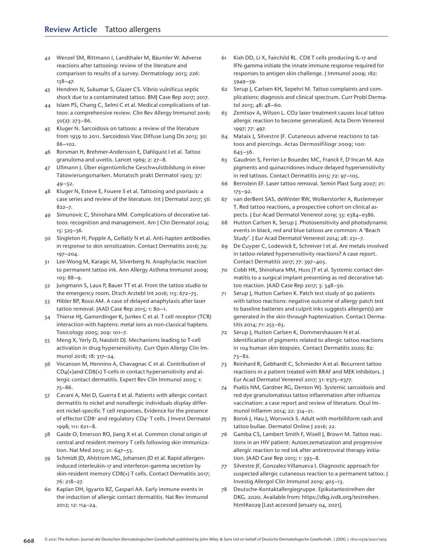- 42 Wenzel SM, Rittmann I, Landthaler M, Bäumler W. Adverse reactions after tattooing: review of the literature and comparison to results of a survey. Dermatology 2013; 226: 138–47.
- 43 Hendren N, Sukumar S, Glazer CS. Vibrio vulnificus septic shock due to a contaminated tattoo. BMJ Case Rep 2017; 2017.
- 44 Islam PS, Chang C, Selmi C et al. Medical complications of tattoos: a comprehensive review. Clin Rev Allergy Immunol 2016; 50(2): 273–86.
- 45 Kluger N. Sarcoidosis on tattoos: a review of the literature from 1939 to 2011. Sarcoidosis Vasc Diffuse Lung Dis 2013; 30: 86–102.
- 46 Rorsman H, Brehmer-Andersson E, Dahlquist I et al. Tattoo granuloma and uveitis. Lancet 1969; 2: 27–8.
- 47 Ullmann J. Über eigentümliche Geschwulstbildung in einer Tätowierungsmarken. Monatsch prakt Dermatol 1903; 37:  $49 - 52$ .
- 48 Kluger N, Esteve E, Fouere S et al. Tattooing and psoriasis: a case series and review of the literature. Int J Dermatol 2017; 56: 822–7.
- 49 Simunovic C, Shinohara MM. Complications of decorative tattoos: recognition and management. Am J Clin Dermatol 2014; 15: 525–36.
- 50 Singleton H, Popple A, Gellatly N et al. Anti-hapten antibodies in response to skin sensitization. Contact Dermatitis 2016; 74: 197–204.
- 51 Lee-Wong M, Karagic M, Silverberg N. Anaphylactic reaction to permanent tattoo ink. Ann Allergy Asthma Immunol 2009; 103: 88–9.
- 52 Jungmann S, Laux P, Bauer TT et al. From the tattoo studio to the emergency room. Dtsch Arztebl Int 2016; 113: 672–75.
- 53 Hibler BP, Rossi AM. A case of delayed anaphylaxis after laser tattoo removal. JAAD Case Rep 2015; 1: 80–1.
- 54 Thierse HJ, Gamerdinger K, Junkes C et al. T cell receptor (TCR) interaction with haptens: metal ions as non-classical haptens. Toxicology 2005; 209: 101–7.
- 55 Meng X, Yerly D, Naisbitt DJ. Mechanisms leading to T-cell activation in drug hypersensitivity. Curr Opin Allergy Clin Immunol 2018; 18: 317–24.
- 56 Vocanson M, Hennino A, Chavagnac C et al. Contribution of CD4(+)and CD8(+) T-cells in contact hypersensitivity and allergic contact dermatitis. Expert Rev Clin Immunol 2005; 1: 75–86.
- 57 Cavani A, Mei D, Guerra E et al. Patients with allergic contact dermatitis to nickel and nonallergic individuals display different nickel-specific T cell responses. Evidence for the presence of effector CD8+ and regulatory CD4+ T cells. J Invest Dermatol 1998; 111: 621–8.
- 58 Gaide O, Emerson RO, Jiang X et al. Common clonal origin of central and resident memory T cells following skin immunization. Nat Med 2015; 21: 647–53.
- 59 Schmidt JD, Ahlstrom MG, Johansen JD et al. Rapid allergeninduced interleukin-17 and interferon-gamma secretion by skin-resident memory CD8(+) T cells. Contact Dermatitis 2017; 76: 218–27.
- 60 Kaplan DH, Igyarto BZ, Gaspari AA. Early immune events in the induction of allergic contact dermatitis. Nat Rev Immunol 2012; 12: 114–24.
- 61 Kish DD, Li X, Fairchild RL. CD8 T cells producing IL-17 and IFN-gamma initiate the innate immune response required for responses to antigen skin challenge. J Immunol 2009; 182: 5949–59.
- 62 Serup J, Carlsen KH, Sepehri M. Tattoo complaints and complications: diagnosis and clinical spectrum. Curr Probl Dermatol 2015; 48: 48–60.
- 63 Zemtsov A, Wilson L. CO2 laser treatment causes local tattoo allergic reaction to become generalized. Acta Derm Venereol 1997; 77: 497.
- 64 Mataix J, Silvestre JF. Cutaneous adverse reactions to tattoos and piercings. Actas Dermosifiliogr 2009; 100: 643–56.
- 65 Gaudron S, Ferrier-Le Bouedec MC, Franck F, D'Incan M. Azo pigments and quinacridones induce delayed hypersensitivity in red tattoos. Contact Dermatitis 2015; 72: 97–105.
- 66 Bernstein EF. Laser tattoo removal. Semin Plast Surg 2007; 21: 175–92.
- 67 van derBent SAS, deWinter RW, Wolkerstorfer A, Rustemeyer T. Red tattoo reactions, a prospective cohort on clinical aspects. J Eur Acad Dermatol Venereol 2019; 33: e384–e386.
- 68 Hutton Carlsen K, Serup J. Photosensitivity and photodynamic events in black, red and blue tattoos are common: A 'Beach Study'. J Eur Acad Dermatol Venereol 2014; 28: 231–7.
- 69 De Cuyper C, Lodewick E, Schreiver I et al. Are metals involved in tattoo-related hypersensitivity reactions? A case report. Contact Dermatitis 2017; 77: 397–405.
- 70 Cobb HK, Shinohara MM, Huss JT et al. Systemic contact dermatitis to a surgical implant presenting as red decorative tattoo reaction. JAAD Case Rep 2017; 3: 348–50.
- 71 Serup J, Hutton Carlsen K. Patch test study of 90 patients with tattoo reactions: negative outcome of allergy patch test to baseline batteries and culprit inks suggests allergen(s) are generated in the skin through haptenization. Contact Dermatitis 2014; 71: 255–63.
- 72 Serup J, Hutton Carlsen K, Dommershausen N et al. Identification of pigments related to allergic tattoo reactions in 104 human skin biopsies. Contact Dermatitis 2020; 82: 73–82.
- 73 Reinhard R, Gebhardt C, Schmieder A et al. Recurrent tattoo reactions in a patient treated with BRAF and MEK inhibitors. J Eur Acad Dermatol Venereol 2017; 31: e375–e377.
- 74 Psaltis NM, Gardner RG, Denton WJ. Systemic sarcoidosis and red dye granulomatous tattoo inflammation after influenza vaccination: a case report and review of literature. Ocul Immunol Inflamm 2014; 22: 314–21.
- 75 Borok J, Hau J, Worswick S. Adult with morbilliform rash and tattoo bullae. Dermatol Online | 2016; 22.
- 76 Gamba CS, Lambert Smith F, Wisell J, Brown M. Tattoo reactions in an HIV patient: Autoeczematization and progressive allergic reaction to red ink after antiretroviral therapy initiation. JAAD Case Rep 2015; 1: 395–8.
- 77 Silvestre JF, Gonzalez-Villanueva I. Diagnostic approach for suspected allergic cutaneous reaction to a permanent tattoo. J Investig Allergol Clin Immunol 2019; 405–13.
- 78 Deutsche-Kontaktallergiegruppe. Epikutantestreihen der DKG. 2020. Available from: https://dkg.ivdk.org/testreihen. html#a029 [Last accessed January 04, 2021].